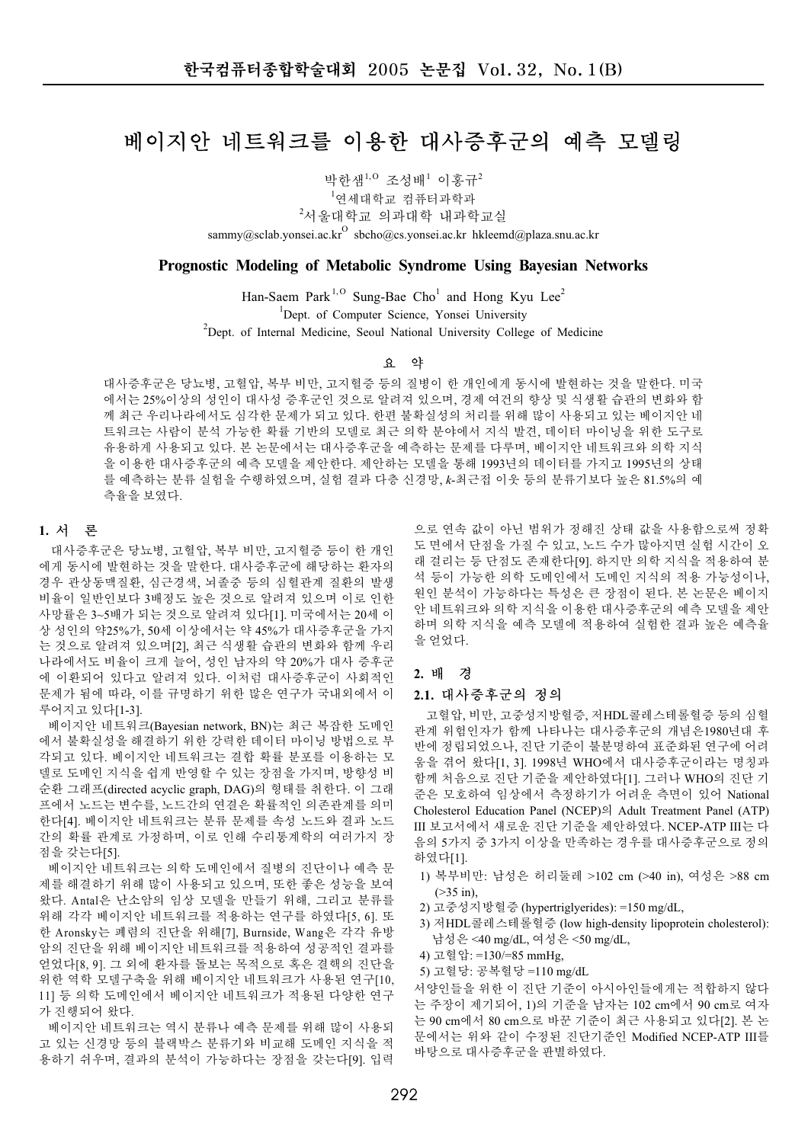# 베이지안 네트워크를 이용한 대사증후군의 예측 모델링

박한샘<sup>1,0</sup> 조성배<sup>1</sup> 이홍규<sup>2</sup>

1<sub>연세대학교</sub> 컴퓨터과학과

 $^{2}$ 서울대학교 의과대학 내과학교실

sammy@sclab.yonsei.ac.kr $^{\mathrm{O}}$  sbcho@cs.yonsei.ac.kr hkleemd@plaza.snu.ac.kr

# **Prognostic Modeling of Metabolic Syndrome Using Bayesian Networks**

Han-Saem Park<sup>1,0</sup> Sung-Bae Cho<sup>1</sup> and Hong Kyu Lee<sup>2</sup> <sup>1</sup>Dept. of Computer Science, Yonsei University <sup>2</sup>Dept. of Internal Medicine, Seoul National University College of Medicine

### 璁 獪

대사증후군은 당뇨병, 고혈압, 복부 비만, 고지혈증 등의 질병이 한 개인에게 동시에 발현하는 것을 말한다. 미국 에서는 25%이상의 성인이 대사성 증후군인 것으로 알려져 있으며, 경제 여건의 향상 및 식생활 습관의 변화와 함 께 최근 우리나라에서도 심각한 문제가 되고 있다. 한편 불확실성의 처리를 위해 많이 사용되고 있는 베이지안 네 트워크는 사람이 분석 가능한 확률 기반의 모델로 최근 의학 분야에서 지식 발견, 데이터 마이닝을 위한 도구로 유용하게 사용되고 있다. 본 논문에서는 대사증후군을 예측하는 문제를 다루며, 베이지안 네트워크와 의학 지식 을 이용한 대사증후군의 예측 모델을 제안한다. 제안하는 모델을 통해 1993년의 데이터를 가지고 1995년의 상태 를 예측하는 분류 실험을 수행하였으며, 실험 결과 다층 신경망, k-최근접 이웃 등의 분류기보다 높은 81.5%의 예 측율을 보였다.

# 1. 서 론

대사증후군은 당뇨병, 고혈압, 복부 비만, 고지혈증 등이 한 개인 에게 동시에 발현하는 것을 말한다. 대사증후군에 해당하는 환자의 경우 관상동맥질환, 심근경색, 뇌졸중 등의 심혈관계 질환의 발생 비율이 일반인보다 3배정도 높은 것으로 알려져 있으며 이로 인한 사망률은 3~5배가 되는 것으로 알려져 있다[1]. 미국에서는 20세 이 상 성인의 약25%가, 50세 이상에서는 약 45%가 대사증후군을 가지 는 것으로 알려져 있으며[2], 최근 식생활 습관의 변화와 함께 우리 나라에서도 비율이 크게 늘어, 성인 남자의 약 20%가 대사 증후군 에 이환되어 있다고 알려져 있다. 이처럼 대사증후군이 사회적인. 문제가 됨에 따라, 이를 규명하기 위한 많은 연구가 국내외에서 이 루어지고 있다[1-3].

베이지안 네트워크(Bavesian network, BN)는 최근 복잡한 도메인 에서 불확실성을 해결하기 위한 강력한 데이터 마이닝 방법으로 부 각되고 있다. 베이지안 네트워크는 결합 확률 분포를 이용하는 모 델로 도메인 지식을 쉽게 반영할 수 있는 장점을 가지며, 방향성 비 순환 그래프(directed acyclic graph, DAG)의 형태를 취한다. 이 그래 프에서 노드는 변수를, 노드간의 연결은 확률적인 의존관계를 의미 한다[4]. 베이지안 네트워크는 분류 문제를 속성 노드와 결과 노드 간의 확률 관계로 가정하며, 이로 인해 수리통계학의 여러가지 장 점을 갖는다[5].

베이지안 네트워크는 의학 도메인에서 질병의 진단이나 예측 문 제를 해결하기 위해 많이 사용되고 있으며, 또한 좋은 성능을 보여 왔다. Antal은 난소암의 임상 모델을 만들기 위해. 그리고 분류를 위해 각각 베이지안 네트워크를 적용하는 연구를 하였다[5, 6]. 또 한 Aronsky는 폐렴의 진단을 위해[7], Burnside, Wang은 각각 유방 암의 진단을 위해 베이지안 네트워크를 적용하여 성공적인 결과를 언었다[8, 9]. 그 외에 환자를 돌보는 목적으로 혹은 결핵의 진단을 위한 역학 모델구축을 위해 베이지안 네트워크가 사용된 연구[10, 11] 등 의학 도메인에서 베이지안 네트워크가 적용된 다양한 연구 가 진행되어 왔다.

베이지안 네트워크는 역시 분류나 예측 문제를 위해 많이 사용되 고 있는 신경망 등의 블랙박스 분류기와 비교해 도메인 지식을 적 용하기 쉬우며, 결과의 분석이 가능하다는 장점을 갖는다[9]. 입력

으로 연속 값이 아닌 범위가 정해진 상태 값을 사용함으로써 정확 도 면에서 단점을 가질 수 있고, 노트 수가 많아지면 실험 시간이 오 래 걸리는 등 단점도 존재한다[9]. 하지만 의학 지식을 적용하여 분 석 등이 가능한 의학 도메인에서 도메인 지식의 적용 가능성이나, 원인 분석이 가능하다는 특성은 큰 장점이 된다. 본 논문은 베이지 안 네트워크와 의학 지식을 이용한 대사증후군의 예측 모델을 제안 하며 의학 지식을 예측 모델에 적용하여 실험한 결과 높은 예측율 을 얻었다.

# **2.** 樝媪

# 2.1. 대사증후군의 정의

고혈압, 비만, 고중성지방혈증, 저HDL콜레스테롤혈증 등의 심혈 관계 위험인자가 함께 나타나는 대사증후군의 개념은1980년대 후 반에 정립되었으나, 진단 기준이 불분명하여 표준화된 연구에 어려 움을 겪어 왔다[1, 3]. 1998년 WHO에서 대사증후군이라는 명칭과 함께 처음으로 진단 기준을 제안하였다[1]. 그러나 WHO의 진단 기 준은 모호하여 임상에서 측정하기가 어려운 측면이 있어 National Cholesterol Education Panel (NCEP)<sup>9</sup> Adult Treatment Panel (ATP) III 보고서에서 새로운 진단 기준을 제안하였다. NCEP-ATP III는 다 음의 5가지 중 3가지 이상을 만족하는 경우를 대사증후군으로 정의 하였다[1].

- 1) 복부비만: 남성은 허리둘레 >102 cm (>40 in), 여성은 >88 cm  $($ >35 in).
- 2) 고중성지방혈증 (hypertriglyerides): =150 mg/dL,
- 3) 저HDL콜레스테롤혈증 (low high-density lipoprotein cholesterol): 남성은 <40 mg/dL, 여성은 <50 mg/dL,
- 4) 嫍菵獂: =130/=85 mmHg,
- 5) 고혈당: 공복혈당 =110 mg/dL

서양인들을 위한 이 진단 기준이 아시아인들에게는 적합하지 않다 는 주장이 제기되어, 1)의 기준을 남자는 102 cm에서 90 cm로 여자 는 90 cm에서 80 cm으로 바꾼 기준이 최근 사용되고 있다[2]. 본 논 문에서는 위와 같이 수정된 진단기준인 Modified NCEP-ATP III를 바탕으로 대사증후구을 파별하였다.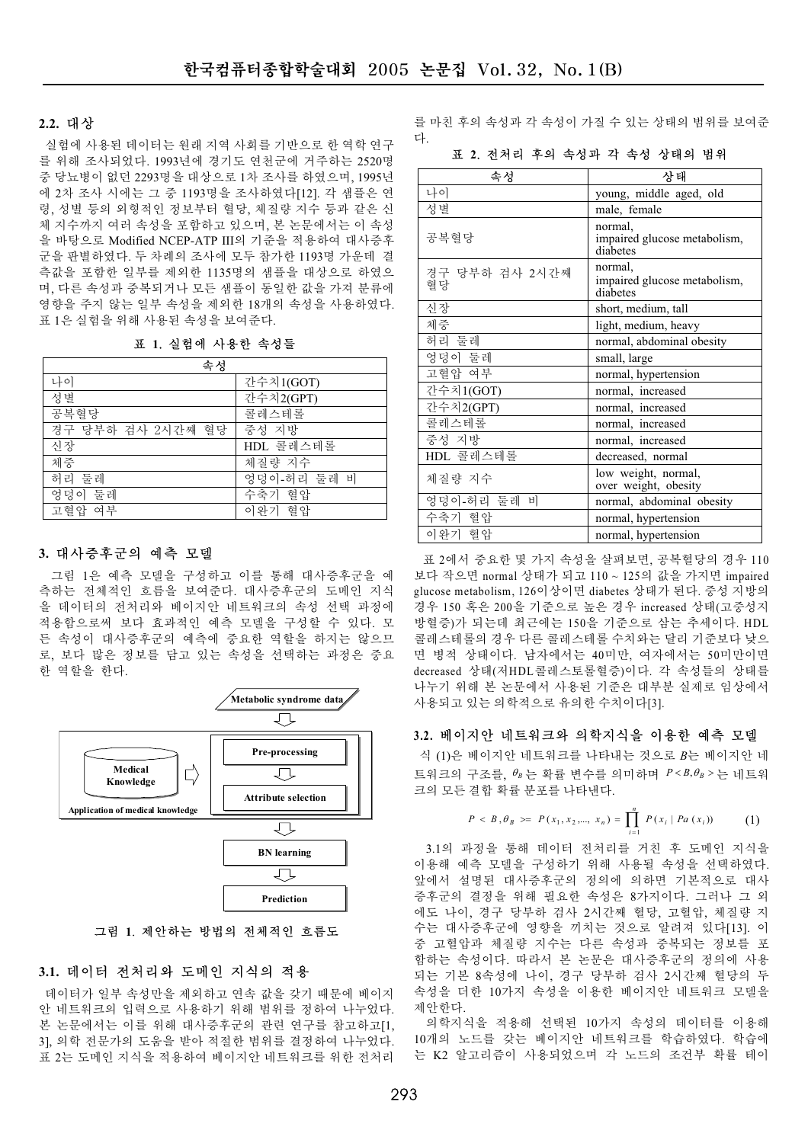#### **2.2.** 惭溮

실험에 사용된 데이터는 워래 지역 사회를 기반으로 한 역학 연구 를 위해 조사되었다. 1993년에 경기도 연천군에 거주하는 2520명 중 당뇨병이 없던 2293명을 대상으로 1차 조사를 하였으며, 1995년 에 2차 조사 시에는 그 중 1193명을 조사하였다[12]. 각 샘플은 연 령, 성별 등의 외형적인 정보부터 혈당, 체질량 지수 등과 같은 신 체 지수까지 여러 속성을 포함하고 있으며, 본 논문에서는 이 속성 을 바탕으로 Modified NCEP-ATP III의 기준을 적용하여 대사증후 군을 판별하였다. 두 차례의 조사에 모두 참가한 1193명 가운데 결 측값을 포함한 일부를 제외한 1135명의 샘플을 대상으로 하였으 며, 다른 속성과 중복되거나 모든 샘플이 동일한 값을 가져 분류에 영향을 주지 않는 일부 속성을 제외한 18개의 속성을 사용하였다. 표 1은 실험을 위해 사용된 속성을 보여준다.

표 1. 실험에 사용한 속성들

| 속성                |             |
|-------------------|-------------|
| 나이                | 간수치1(GOT)   |
| 성별                | 간수치2(GPT)   |
| 공복혈당              | 콜레스테롤       |
| 경구 당부하 검사 2시간째 혈당 | 중성 지방       |
| 신장                | HDL 콜레스테롤   |
| 체중                | 체질량 지수      |
| 허리 둘레             | 엉덩이-허리 둘레 비 |
| 엉덩이 둘레            | 수축기 혈압      |
| 고혈압 여부            | 이완기 혈압      |

## 3. 대사증후군의 예측 모델

그림 1은 예측 모델을 구성하고 이를 통해 대사증후군을 예 측하는 전체적인 호름을 보여주다. 대사증후군의 도메인 지식 을 데이터의 전처리와 베이지안 네트워크의 속성 선택 과정에 적용함으로써 보다 효과적인 예측 모델을 구성할 수 있다. 모 든 속성이 대사증후군의 예측에 중요한 역할을 하지는 않으므 로, 보다 많은 정보를 담고 있는 속성을 선택하는 과정은 중요 한 역할을 한다.



그림 1. 제안하는 방법의 전체적인 흐름도

### 3.1. 데이터 전처리와 도메인 지식의 적용

데이터가 일부 속성만을 제외하고 연속 값을 갖기 때문에 베이지 안 네트워크의 입력으로 사용하기 위해 범위를 정하여 나누었다. 본 논문에서는 이를 위해 대사증후군의 관련 연구를 참고하고[1, 3], 의학 전문가의 도움을 받아 적절한 범위를 결정하여 나누었다. 표 2는 도메인 지식을 적용하여 베이지안 네트워크를 위한 전처리

를 마친 후의 속성과 각 속성이 가질 수 있는 상태의 범위를 보여준 惑.

표 2. 전처리 후의 속성과 각 속성 상태의 범위

| 속성                   | 상태                                                  |  |
|----------------------|-----------------------------------------------------|--|
| 나이                   | young, middle aged, old                             |  |
| 성별                   | male, female                                        |  |
| 공복혈당                 | normal.<br>impaired glucose metabolism,<br>diabetes |  |
| 경구 당부하 검사 2시간째<br>협당 | normal.<br>impaired glucose metabolism,<br>diabetes |  |
| 신장                   | short, medium, tall                                 |  |
| 체중                   | light, medium, heavy                                |  |
| 허리 둘레                | normal, abdominal obesity                           |  |
| 엉덩이 둘레               | small, large                                        |  |
| 고혈압 여부               | normal, hypertension                                |  |
| 간수치1(GOT)            | normal, increased                                   |  |
| 간수치2(GPT)            | normal, increased                                   |  |
| 콜레스테롤                | normal, increased                                   |  |
| 중성 지방                | normal, increased                                   |  |
| HDL 콜레스테롤            | decreased, normal                                   |  |
| 체질량 지수               | low weight, normal,<br>over weight, obesity         |  |
| 엉덩이-허리 둘레 비          | normal, abdominal obesity                           |  |
| 수축기 혈압               | normal, hypertension                                |  |
| 이완기 혈압               | normal, hypertension                                |  |

표 2에서 중요한 몇 가지 속성을 살펴보면, 공복혈당의 경우 110 보다 작으면 normal 상태가 되고 110 ~ 125의 값을 가지면 impaired glucose metabolism, 126이상이면 diabetes 상태가 된다. 중성 지방의 경우 150 혹은 200을 기준으로 높은 경우 increased 상태(고중성지 방혈증)가 되는데 최근에는 150을 기준으로 삼는 추세이다. HDL 콜레스테롤의 경우 다른 콜레스테롤 수치와는 달리 기주보다 낮으 면 병적 상태이다. 남자에서는 40미만, 여자에서는 50미만이면 decreased 상태(저HDL콜레스토롤혈증)이다. 각 속성들의 상태를 나누기 위해 본 논문에서 사용된 기준은 대부분 실제로 임상에서 사용되고 있는 의학적으로 유의한 수치이다[3].

# 3.2. 베이지안 네트워크와 의학지식을 이용한 예측 모델

식 (1)은 베이지안 네트워크를 나타내는 것으로 B는 베이지안 네  $E = \{A | B \in \mathcal{B}_B \mid B \in \mathbb{R}^d : |B| \leq P \}$  가 주 아이 가 아이 가 아이 가 아이 가 있어요. 크의 모든 결합 확률 분포를 나타내다.

$$
P < B, \theta_B > = P(x_1, x_2, \dots, x_n) = \prod_{i=1}^n P(x_i \mid Pa(x_i)) \tag{1}
$$

3.1의 과정을 통해 데이터 전처리를 거친 후 도메인 지식을 이용해 예측 모델을 구성하기 위해 사용될 속성을 선택하였다. 앞에서 설명된 대사증후군의 정의에 의하면 기본적으로 대사 증후군의 결정을 위해 필요한 속성은 8가지이다. 그러나 그 외 에도 나이, 경구 당부하 검사 2시간째 혈당, 고혈압, 체질량 지 수는 대사증후군에 영향을 끼치는 것으로 알려져 있다[13]. 이 중 고혈압과 체질량 지수는 다른 속성과 중복되는 정보를 포 함하는 속성이다. 따라서 본 논문은 대사증후군의 정의에 사용 되는 기본 8속성에 나이. 경구 당부하 검사 2시간째 혈당의 두 속성을 더한 10가지 속성을 이용한 베이지안 네트워크 모델을 제 아 하 다.

의학지식을 적용해 선택된 10가지 속성의 데이터를 이용해 10개의 노드를 갖는 베이지안 네트워크를 학습하였다. 학습에 는 K2 알고리즘이 사용되었으며 각 노드의 조건부 확률 테이